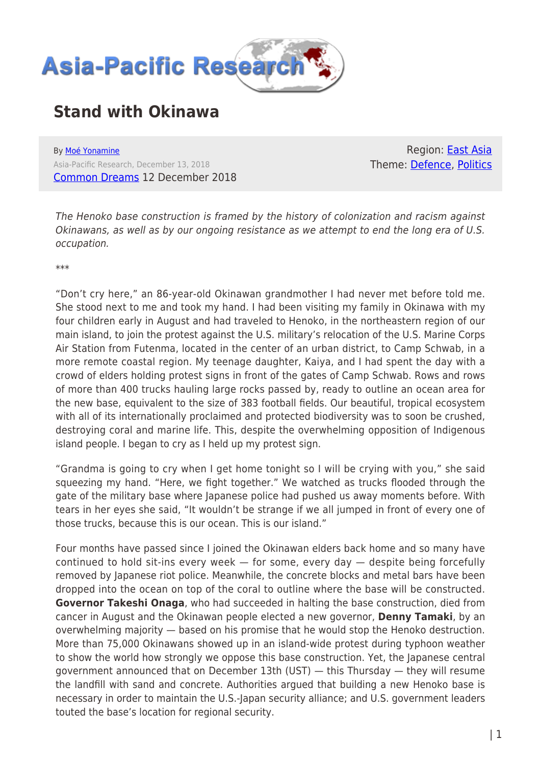

## **Stand with Okinawa**

By [Moé Yonamine](https://www.asia-pacificresearch.com/author/moe-yonamine) Asia-Pacific Research, December 13, 2018 [Common Dreams](https://www.commondreams.org/views/2018/12/12/stand-okinawa) 12 December 2018

Region: **East Asia** Theme: [Defence,](https://www.asia-pacificresearch.com/theme/defence) [Politics](https://www.asia-pacificresearch.com/theme/politics)

The Henoko base construction is framed by the history of colonization and racism against Okinawans, as well as by our ongoing resistance as we attempt to end the long era of U.S. occupation.

\*\*\*

"Don't cry here," an 86-year-old Okinawan grandmother I had never met before told me. She stood next to me and took my hand. I had been visiting my family in Okinawa with my four children early in August and had traveled to Henoko, in the northeastern region of our main island, to join the protest against the U.S. military's relocation of the U.S. Marine Corps Air Station from Futenma, located in the center of an urban district, to Camp Schwab, in a more remote coastal region. My teenage daughter, Kaiya, and I had spent the day with a crowd of elders holding protest signs in front of the gates of Camp Schwab. Rows and rows of more than 400 trucks hauling large rocks passed by, ready to outline an ocean area for the new base, equivalent to the size of 383 football fields. Our beautiful, tropical ecosystem with all of its internationally proclaimed and protected biodiversity was to soon be crushed, destroying coral and marine life. This, despite the overwhelming opposition of Indigenous island people. I began to cry as I held up my protest sign.

"Grandma is going to cry when I get home tonight so I will be crying with you," she said squeezing my hand. "Here, we fight together." We watched as trucks flooded through the gate of the military base where Japanese police had pushed us away moments before. With tears in her eyes she said, "It wouldn't be strange if we all jumped in front of every one of those trucks, because this is our ocean. This is our island."

Four months have passed since I joined the Okinawan elders back home and so many have continued to hold sit-ins every week  $-$  for some, every day  $-$  despite being forcefully removed by Japanese riot police. Meanwhile, the concrete blocks and metal bars have been dropped into the ocean on top of the coral to outline where the base will be constructed. **Governor Takeshi Onaga**, who had succeeded in halting the base construction, died from cancer in August and the Okinawan people elected a new governor, **Denny Tamaki**, by an overwhelming majority — based on his promise that he would stop the Henoko destruction. More than 75,000 Okinawans showed up in an island-wide protest during typhoon weather to show the world how strongly we oppose this base construction. Yet, the Japanese central government announced that on December 13th (UST) — this Thursday — they will resume the landfill with sand and concrete. Authorities argued that building a new Henoko base is necessary in order to maintain the U.S.-Japan security alliance; and U.S. government leaders touted the base's location for regional security.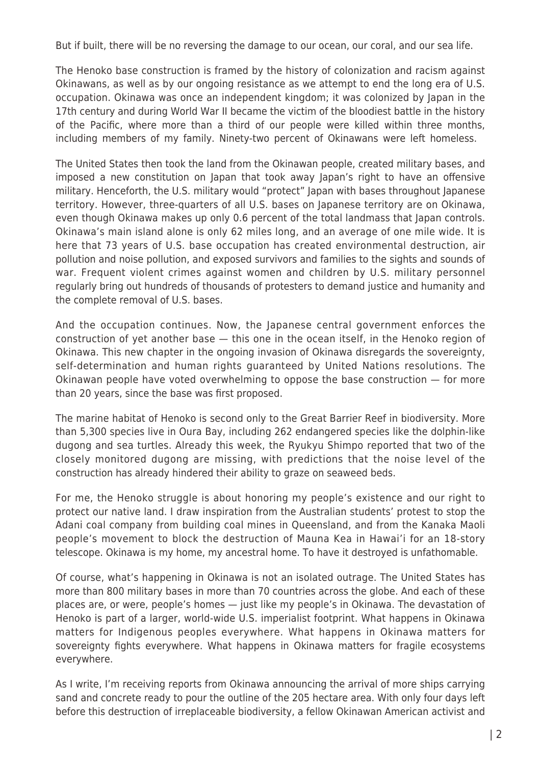But if built, there will be no reversing the damage to our ocean, our coral, and our sea life.

The Henoko base construction is framed by the history of colonization and racism against Okinawans, as well as by our ongoing resistance as we attempt to end the long era of U.S. occupation. Okinawa was once an independent kingdom; it was colonized by Japan in the 17th century and during World War II became the victim of the bloodiest battle in the history of the Pacific, where more than a third of our people were killed within three months, including members of my family. Ninety-two percent of Okinawans were left homeless.

The United States then took the land from the Okinawan people, created military bases, and imposed a new constitution on Japan that took away Japan's right to have an offensive military. Henceforth, the U.S. military would "protect" Japan with bases throughout Japanese territory. However, three-quarters of all U.S. bases on Japanese territory are on Okinawa, even though Okinawa makes up only 0.6 percent of the total landmass that Japan controls. Okinawa's main island alone is only 62 miles long, and an average of one mile wide. It is here that 73 years of U.S. base occupation has created environmental destruction, air pollution and noise pollution, and exposed survivors and families to the sights and sounds of war. Frequent violent crimes against women and children by U.S. military personnel regularly bring out hundreds of thousands of protesters to demand justice and humanity and the complete removal of U.S. bases.

And the occupation continues. Now, the Japanese central government enforces the construction of yet another base — this one in the ocean itself, in the Henoko region of Okinawa. This new chapter in the ongoing invasion of Okinawa disregards the sovereignty, self-determination and human rights guaranteed by United Nations resolutions. The Okinawan people have voted overwhelming to oppose the base construction — for more than 20 years, since the base was first proposed.

The marine habitat of Henoko is second only to the Great Barrier Reef in biodiversity. More than 5,300 species live in Oura Bay, including 262 endangered species like the dolphin-like dugong and sea turtles. Already this week, the Ryukyu Shimpo reported that two of the closely monitored dugong are missing, with predictions that the noise level of the construction has already hindered their ability to graze on seaweed beds.

For me, the Henoko struggle is about honoring my people's existence and our right to protect our native land. I draw inspiration from the Australian students' protest to stop the Adani coal company from building coal mines in Queensland, and from the Kanaka Maoli people's movement to block the destruction of Mauna Kea in Hawai'i for an 18-story telescope. Okinawa is my home, my ancestral home. To have it destroyed is unfathomable.

Of course, what's happening in Okinawa is not an isolated outrage. The United States has more than 800 military bases in more than 70 countries across the globe. And each of these places are, or were, people's homes — just like my people's in Okinawa. The devastation of Henoko is part of a larger, world-wide U.S. imperialist footprint. What happens in Okinawa matters for Indigenous peoples everywhere. What happens in Okinawa matters for sovereignty fights everywhere. What happens in Okinawa matters for fragile ecosystems everywhere.

As I write, I'm receiving reports from Okinawa announcing the arrival of more ships carrying sand and concrete ready to pour the outline of the 205 hectare area. With only four days left before this destruction of irreplaceable biodiversity, a fellow Okinawan American activist and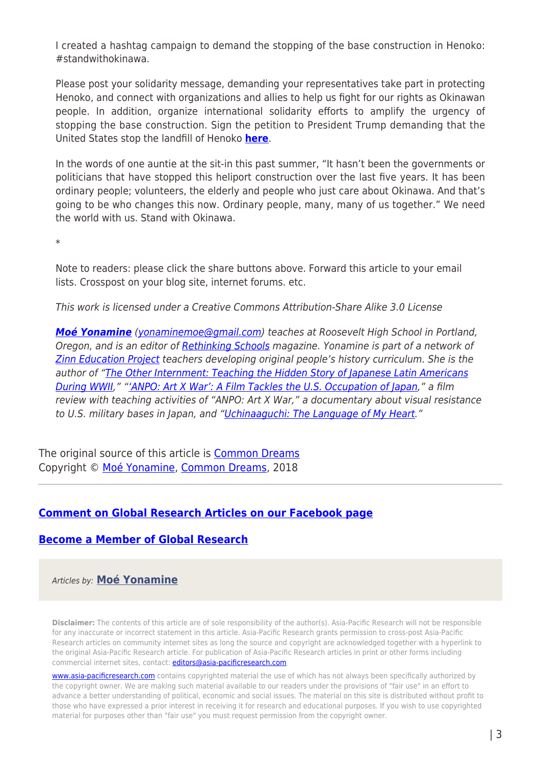I created a hashtag campaign to demand the stopping of the base construction in Henoko: #standwithokinawa.

Please post your solidarity message, demanding your representatives take part in protecting Henoko, and connect with organizations and allies to help us fight for our rights as Okinawan people. In addition, organize international solidarity efforts to amplify the urgency of stopping the base construction. Sign the petition to President Trump demanding that the United States stop the landfill of Henoko **[here](https://petitions.whitehouse.gov/petition/stop-landfill-henoko-oura-bay-until-referendum-can-be-held-okinawa.)**.

In the words of one auntie at the sit-in this past summer, "It hasn't been the governments or politicians that have stopped this heliport construction over the last five years. It has been ordinary people; volunteers, the elderly and people who just care about Okinawa. And that's going to be who changes this now. Ordinary people, many, many of us together." We need the world with us. Stand with Okinawa.

\*

Note to readers: please click the share buttons above. Forward this article to your email lists. Crosspost on your blog site, internet forums. etc.

This work is licensed under a Creative Commons Attribution-Share Alike 3.0 License

*[Moé Yonamine](https://www.commondreams.org/author/moe-yonamine)* [\(yonaminemoe@gmail.com\)](mailto:yonaminemoe@gmail.com) teaches at Roosevelt High School in Portland, Oregon, and is an editor of [Rethinking Schools](http://rethinkingschools.org/) magazine. Yonamine is part of a network of **Zinn Education Project** teachers developing original people's history curriculum. She is the author of ["The Other Internment: Teaching the Hidden Story of Japanese Latin Americans](https://zinnedproject.org/materials/the-other-internment/) [During WWII](https://zinnedproject.org/materials/the-other-internment/)," ["'ANPO: Art X War': A Film Tackles the U.S. Occupation of Japan,](https://zinnedproject.org/materials/anpo/)" a film review with teaching activities of "ANPO: Art X War," a documentary about visual resistance to U.S. military bases in Japan, and ["Uchinaaguchi: The Language of My Heart.](https://www.rethinkingschools.org/articles/uchinaaguchi-the-language-of-my-heart)"

The original source of this article is [Common Dreams](https://www.commondreams.org/views/2018/12/12/stand-okinawa) Copyright © [Moé Yonamine,](https://www.asia-pacificresearch.com/author/moe-yonamine) [Common Dreams,](https://www.commondreams.org/views/2018/12/12/stand-okinawa) 2018

## **[Comment on Global Research Articles on our Facebook page](https://www.facebook.com/GlobalResearchCRG)**

## **[Become a Member of Global Research](https://store.globalresearch.ca/member/)**

Articles by: **[Moé Yonamine](https://www.asia-pacificresearch.com/author/moe-yonamine)**

**Disclaimer:** The contents of this article are of sole responsibility of the author(s). Asia-Pacific Research will not be responsible for any inaccurate or incorrect statement in this article. Asia-Pacific Research grants permission to cross-post Asia-Pacific Research articles on community internet sites as long the source and copyright are acknowledged together with a hyperlink to the original Asia-Pacific Research article. For publication of Asia-Pacific Research articles in print or other forms including commercial internet sites, contact: *[editors@asia-pacificresearch.com](mailto:editors@asia-pacificresearch.com)* 

[www.asia-pacificresearch.com](https://www.asia-pacificresearch.com) contains copyrighted material the use of which has not always been specifically authorized by the copyright owner. We are making such material available to our readers under the provisions of "fair use" in an effort to advance a better understanding of political, economic and social issues. The material on this site is distributed without profit to those who have expressed a prior interest in receiving it for research and educational purposes. If you wish to use copyrighted material for purposes other than "fair use" you must request permission from the copyright owner.